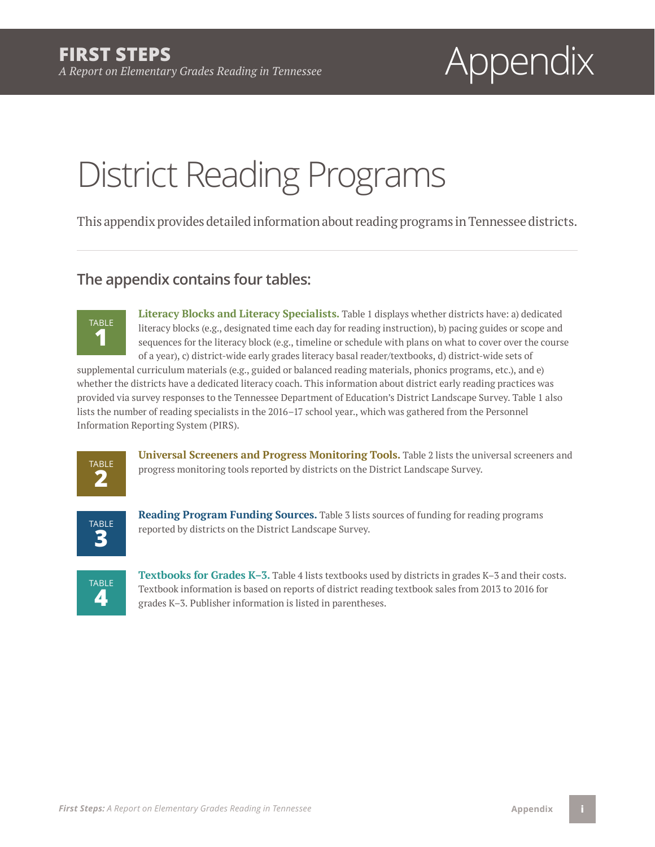# *A Report on Elementary Grades Reading in Tennessee* Appendix

# District Reading Programs

This appendix provides detailed information about reading programs in Tennessee districts.

### **The appendix contains four tables:**



**Literacy Blocks and Literacy Specialists.** Table 1 displays whether districts have: a) dedicated literacy blocks (e.g., designated time each day for reading instruction), b) pacing guides or scope and sequences for the literacy block (e.g., timeline or schedule with plans on what to cover over the course of a year), c) district-wide early grades literacy basal reader/textbooks, d) district-wide sets of

supplemental curriculum materials (e.g., guided or balanced reading materials, phonics programs, etc.), and e) whether the districts have a dedicated literacy coach. This information about district early reading practices was provided via survey responses to the Tennessee Department of Education's District Landscape Survey. Table 1 also lists the number of reading specialists in the 2016–17 school year., which was gathered from the Personnel Information Reporting System (PIRS).



**Universal Screeners and Progress Monitoring Tools.** Table 2 lists the universal screeners and progress monitoring tools reported by districts on the District Landscape Survey.



**Reading Program Funding Sources.** Table 3 lists sources of funding for reading programs reported by districts on the District Landscape Survey.



**Textbooks for Grades K–3.** Table 4 lists textbooks used by districts in grades K–3 and their costs. Textbook information is based on reports of district reading textbook sales from 2013 to 2016 for grades K–3. Publisher information is listed in parentheses.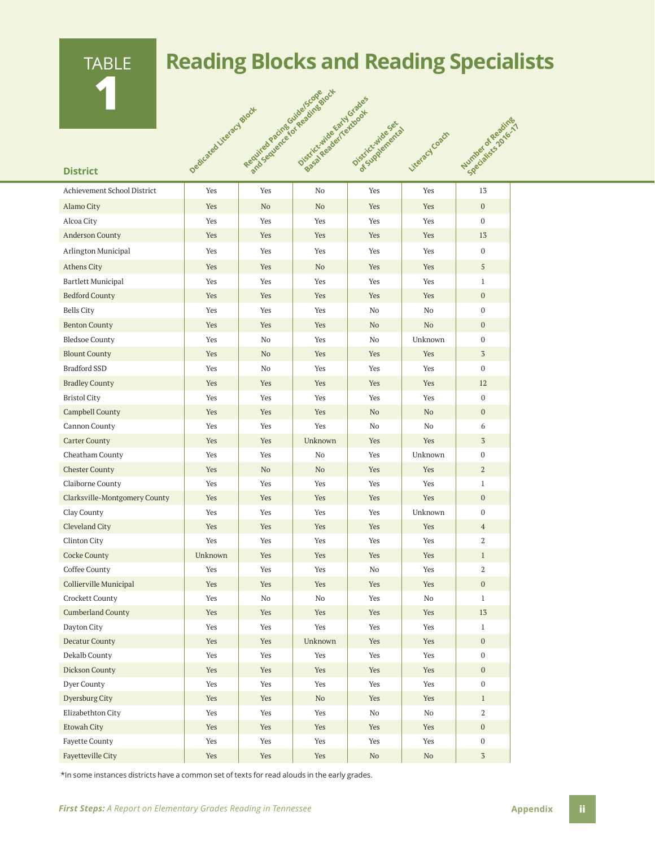

## **Reading Blocks and Reading Specialists**

|                               | Dedicated Literacy Black | Required Parines (or Bedinge) | Requires device for Reading Block<br>Districtivities Early Grades<br>District Reader[actdcdge] | Districtive Rental | Literacy Coach | Number of Reading<br>selectative of telephysics |
|-------------------------------|--------------------------|-------------------------------|------------------------------------------------------------------------------------------------|--------------------|----------------|-------------------------------------------------|
| <b>District</b>               |                          |                               |                                                                                                |                    |                |                                                 |
| Achievement School District   | Yes                      | Yes                           | No                                                                                             | Yes                | Yes            | 13                                              |
| Alamo City                    | Yes                      | N <sub>o</sub>                | No                                                                                             | Yes                | Yes            | $\overline{0}$                                  |
| Alcoa City                    | Yes                      | Yes                           | Yes                                                                                            | Yes                | Yes            | $\overline{0}$                                  |
| <b>Anderson County</b>        | Yes                      | Yes                           | Yes                                                                                            | Yes                | Yes            | 13                                              |
| Arlington Municipal           | Yes                      | Yes                           | Yes                                                                                            | Yes                | Yes            | $\mathbf{0}$                                    |
| <b>Athens City</b>            | Yes                      | Yes                           | N <sub>o</sub>                                                                                 | Yes                | <b>Yes</b>     | 5                                               |
| <b>Bartlett Municipal</b>     | Yes                      | Yes                           | Yes                                                                                            | Yes                | Yes            | $\mathbf{1}$                                    |
| <b>Bedford County</b>         | Yes                      | Yes                           | Yes                                                                                            | Yes                | Yes            | $\overline{0}$                                  |
| <b>Bells City</b>             | Yes                      | Yes                           | Yes                                                                                            | No                 | N <sub>o</sub> | $\overline{0}$                                  |
| <b>Benton County</b>          | Yes                      | Yes                           | Yes                                                                                            | N <sub>o</sub>     | No             | $\overline{0}$                                  |
| <b>Bledsoe County</b>         | Yes                      | No                            | Yes                                                                                            | No                 | Unknown        | $\overline{0}$                                  |
| <b>Blount County</b>          | <b>Yes</b>               | No                            | Yes                                                                                            | Yes                | Yes            | $\overline{3}$                                  |
| <b>Bradford SSD</b>           | Yes                      | No                            | Yes                                                                                            | Yes                | Yes            | $\overline{0}$                                  |
| <b>Bradley County</b>         | Yes                      | Yes                           | Yes                                                                                            | Yes                | Yes            | 12                                              |
| <b>Bristol City</b>           | Yes                      | Yes                           | Yes                                                                                            | Yes                | Yes            | 0                                               |
| Campbell County               | Yes                      | Yes                           | Yes                                                                                            | No                 | N <sub>o</sub> | $\overline{0}$                                  |
| Cannon County                 | Yes                      | Yes                           | Yes                                                                                            | No                 | No             | 6                                               |
| <b>Carter County</b>          | Yes                      | Yes                           | Unknown                                                                                        | Yes                | Yes            | 3                                               |
| Cheatham County               | Yes                      | Yes                           | N <sub>o</sub>                                                                                 | Yes                | Unknown        | $\overline{0}$                                  |
| <b>Chester County</b>         | Yes                      | N <sub>o</sub>                | No                                                                                             | Yes                | Yes            | $\overline{a}$                                  |
| Claiborne County              | Yes                      | Yes                           | Yes                                                                                            | Yes                | Yes            | $\mathbf{1}$                                    |
| Clarksville-Montgomery County | <b>Yes</b>               | Yes                           | Yes                                                                                            | Yes                | <b>Yes</b>     | $\mathbf{0}$                                    |
| Clay County                   | Yes                      | Yes                           | Yes                                                                                            | Yes                | Unknown        | $\overline{0}$                                  |
| Cleveland City                | Yes                      | Yes                           | Yes                                                                                            | Yes                | Yes            | $\overline{4}$                                  |
| <b>Clinton City</b>           | Yes                      | Yes                           | Yes                                                                                            | Yes                | Yes            | 2                                               |
| Cocke County                  | Unknown                  | Yes                           | Yes                                                                                            | Yes                | Yes            | $\mathbf{1}$                                    |
| Coffee County                 | Yes                      | Yes                           | Yes                                                                                            | No                 | Yes            | 2                                               |
| Collierville Municipal        | Yes                      | Yes                           | Yes                                                                                            | Yes                | Yes            | $\boldsymbol{0}$                                |
| Crockett County               | Yes                      | No                            | $\rm No$                                                                                       | Yes                | No             | $\mathbf{1}$                                    |
| <b>Cumberland County</b>      | Yes                      | Yes                           | Yes                                                                                            | Yes                | Yes            | 13                                              |
| Dayton City                   | Yes                      | Yes                           | Yes                                                                                            | Yes                | Yes            | $1\,$                                           |
| Decatur County                | Yes                      | Yes                           | Unknown                                                                                        | Yes                | Yes            | $\boldsymbol{0}$                                |
| Dekalb County                 | Yes                      | Yes                           | Yes                                                                                            | Yes                | Yes            | $\mathbf 0$                                     |
| Dickson County                | Yes                      | Yes                           | Yes                                                                                            | Yes                | Yes            | $\boldsymbol{0}$                                |
| Dyer County                   | Yes                      | Yes                           | Yes                                                                                            | Yes                | Yes            | $\boldsymbol{0}$                                |
| Dyersburg City                | Yes                      | Yes                           | $\rm No$                                                                                       | Yes                | Yes            | $\mathbf{1}$                                    |
| Elizabethton City             | Yes                      | Yes                           | Yes                                                                                            | No                 | No             | $\mathbf{2}$                                    |
| Etowah City                   | Yes                      | Yes                           | Yes                                                                                            | Yes                | Yes            | $\boldsymbol{0}$                                |
| <b>Fayette County</b>         | Yes                      | Yes                           | Yes                                                                                            | Yes                | Yes            | $\bf{0}$                                        |
| Fayetteville City             | Yes                      | Yes                           | Yes                                                                                            | $\rm No$           | No             | $\sqrt{3}$                                      |

\*In some instances districts have a common set of texts for read alouds in the early grades.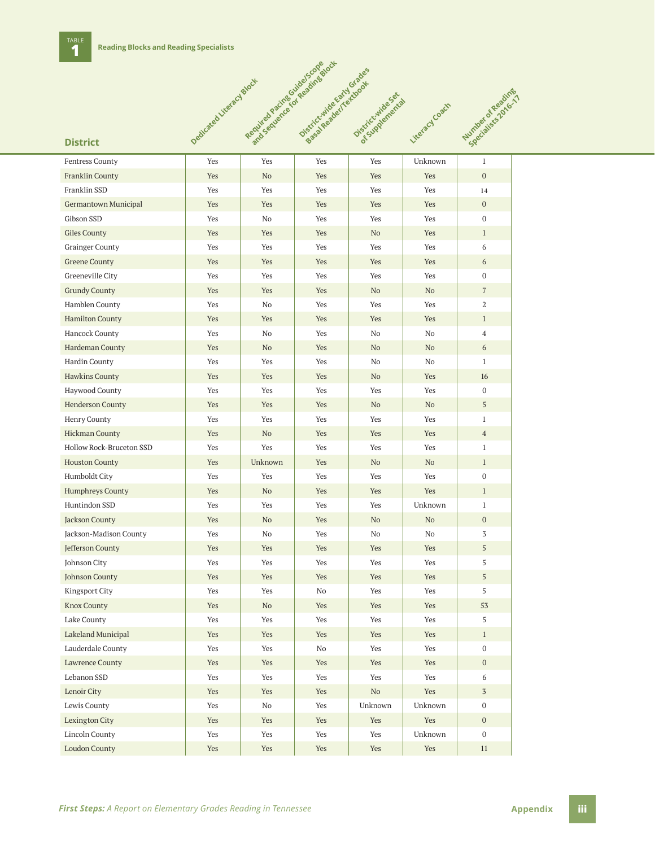

| <b>Fentress County</b>   | Yes | Yes                           | Yes | Yes      | Unknown                       | $\mathbf{1}$     |
|--------------------------|-----|-------------------------------|-----|----------|-------------------------------|------------------|
| Franklin County          | Yes | No                            | Yes | Yes      | Yes                           | $\boldsymbol{0}$ |
| Franklin SSD             | Yes | Yes                           | Yes | Yes      | Yes                           | 14               |
| Germantown Municipal     | Yes | Yes                           | Yes | Yes      | Yes                           | $\mathbf{0}$     |
| Gibson SSD               | Yes | No                            | Yes | Yes      | Yes                           | $\mathbf{0}$     |
| Giles County             | Yes | Yes                           | Yes | No       | Yes                           | $\mathbf{1}$     |
| <b>Grainger County</b>   | Yes | Yes                           | Yes | Yes      | Yes                           | 6                |
| <b>Greene County</b>     | Yes | Yes                           | Yes | Yes      | Yes                           | 6                |
| Greeneville City         | Yes | Yes                           | Yes | Yes      | Yes                           | $\boldsymbol{0}$ |
| <b>Grundy County</b>     | Yes | Yes                           | Yes | No       | N <sub>o</sub>                | $\overline{7}$   |
| Hamblen County           | Yes | No                            | Yes | Yes      | Yes                           | 2                |
| <b>Hamilton County</b>   | Yes | Yes                           | Yes | Yes      | Yes                           | $\mathbf{1}$     |
| Hancock County           | Yes | No                            | Yes | No       | No                            | $\overline{4}$   |
| Hardeman County          | Yes | No                            | Yes | No       | No                            | 6                |
| Hardin County            | Yes | Yes                           | Yes | No       | No                            | $\mathbf{1}$     |
| Hawkins County           | Yes | Yes                           | Yes | No       | Yes                           | 16               |
| Haywood County           | Yes | Yes                           | Yes | Yes      | Yes                           | $\bf{0}$         |
| <b>Henderson County</b>  | Yes | Yes                           | Yes | No       | N <sub>o</sub>                | 5                |
| Henry County             | Yes | Yes                           | Yes | Yes      | Yes                           | $\mathbf{1}$     |
| <b>Hickman County</b>    | Yes | No                            | Yes | Yes      | Yes                           | $\overline{4}$   |
| Hollow Rock-Bruceton SSD | Yes | Yes                           | Yes | Yes      | Yes                           | $\mathbf{1}$     |
| <b>Houston County</b>    | Yes | Unknown                       | Yes | No       | No                            | $\mathbf{1}$     |
| Humboldt City            | Yes | Yes                           | Yes | Yes      | Yes                           | $\bf{0}$         |
| <b>Humphreys County</b>  | Yes | No                            | Yes | Yes      | Yes                           | $\mathbf{1}$     |
| Huntindon SSD            | Yes | Yes                           | Yes | Yes      | Unknown                       | $\mathbf{1}$     |
| Jackson County           | Yes | No                            | Yes | No       | N <sub>o</sub>                | $\mathbf{0}$     |
| Jackson-Madison County   | Yes | No                            | Yes | No       | No                            | 3                |
| Jefferson County         | Yes | Yes                           | Yes | Yes      | Yes                           | 5                |
| Johnson City             | Yes | Yes                           | Yes | Yes      | Yes                           | 5                |
| Johnson County           | Yes | Yes                           | Yes | Yes      | Yes                           | 5                |
| <b>Kingsport City</b>    | Yes | Yes                           | No  | Yes      | Yes                           | 5                |
| <b>Knox County</b>       | Yes | No                            | Yes | Yes      | Yes                           | 53               |
| Lake County              | Yes | Yes                           | Yes | Yes      | Yes                           | 5                |
| Lakeland Municipal       | Yes | Yes                           | Yes | Yes      | Yes                           | $\mathbf{1}$     |
| Lauderdale County        | Yes | Yes                           | No  | Yes      | Yes                           | 0                |
| <b>Lawrence County</b>   | Yes | Yes                           | Yes | Yes      | Yes                           | $\boldsymbol{0}$ |
| Lebanon SSD              | Yes | Yes                           | Yes | Yes      | Yes                           | 6                |
| Lenoir City              | Yes | Yes                           | Yes | $\rm No$ | Yes                           | $\sqrt{3}$       |
| Lewis County             | Yes | $\rm No$                      | Yes | Unknown  | Unknown                       | $\boldsymbol{0}$ |
| Lexington City           | Yes | Yes                           | Yes | Yes      | Yes                           | $\boldsymbol{0}$ |
| Lincoln County           | Yes | Yes                           | Yes | Yes      | Unknown                       | $\mathbf 0$      |
| <b>Loudon County</b>     | Yes | $\operatorname{\mathsf{Yes}}$ | Yes | Yes      | $\operatorname{\mathsf{Yes}}$ | $11\,$           |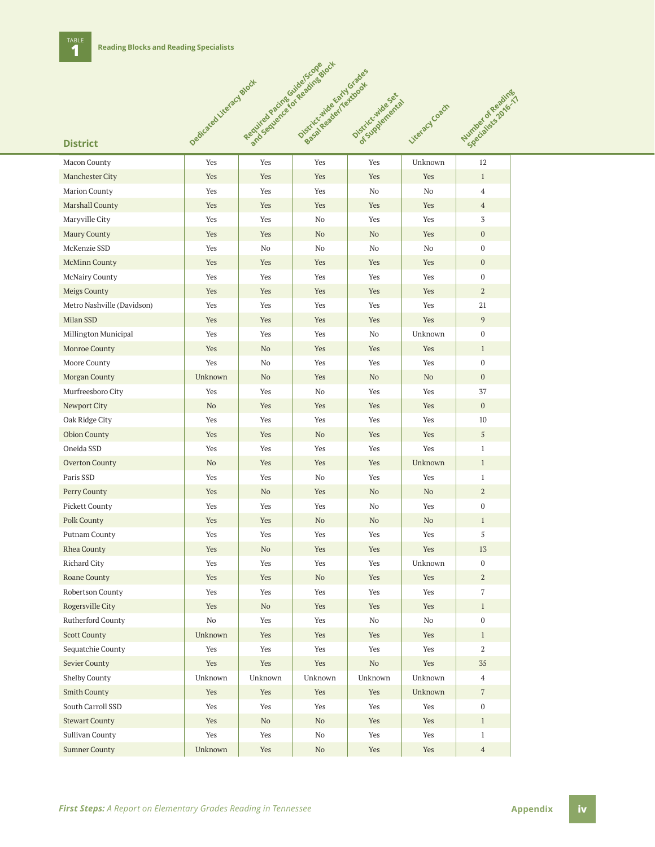

| Macon County               | Yes     | Yes                           | Yes      | Yes                           | Unknown                       | 12               |
|----------------------------|---------|-------------------------------|----------|-------------------------------|-------------------------------|------------------|
| Manchester City            | Yes     | Yes                           | Yes      | Yes                           | Yes                           | $\mathbf{1}$     |
| <b>Marion County</b>       | Yes     | Yes                           | Yes      | No                            | No                            | $\overline{4}$   |
| Marshall County            | Yes     | Yes                           | Yes      | Yes                           | Yes                           | $\overline{4}$   |
| Maryville City             | Yes     | Yes                           | No       | Yes                           | Yes                           | 3                |
| Maury County               | Yes     | Yes                           | No       | No.                           | Yes                           | $\mathbf{0}$     |
| McKenzie SSD               | Yes     | No                            | No       | No                            | No                            | $\bf{0}$         |
| <b>McMinn County</b>       | Yes     | Yes                           | Yes      | Yes                           | Yes                           | $\mathbf{0}$     |
| McNairy County             | Yes     | Yes                           | Yes      | Yes                           | $\operatorname{Yes}$          | $\mathbf 0$      |
| Meigs County               | Yes     | Yes                           | Yes      | Yes                           | Yes                           | $\overline{a}$   |
| Metro Nashville (Davidson) | Yes     | Yes                           | Yes      | Yes                           | Yes                           | 21               |
| Milan SSD                  | Yes     | Yes                           | Yes      | Yes                           | Yes                           | 9                |
| Millington Municipal       | Yes     | Yes                           | Yes      | No                            | Unknown                       | $\mathbf{0}$     |
| Monroe County              | Yes     | No                            | Yes      | Yes                           | Yes                           | $\mathbf{1}$     |
| Moore County               | Yes     | No                            | Yes      | Yes                           | Yes                           | $\boldsymbol{0}$ |
| Morgan County              | Unknown | No                            | Yes      | No                            | No                            | $\mathbf{0}$     |
| Murfreesboro City          | Yes     | Yes                           | No       | Yes                           | Yes                           | 37               |
| Newport City               | No      | Yes                           | Yes      | Yes                           | Yes                           | $\mathbf{0}$     |
| Oak Ridge City             | Yes     | Yes                           | Yes      | Yes                           | Yes                           | 10               |
| <b>Obion County</b>        | Yes     | Yes                           | No       | Yes                           | Yes                           | $\sqrt{5}$       |
| Oneida SSD                 | Yes     | Yes                           | Yes      | Yes                           | Yes                           | $\mathbf{1}$     |
| Overton County             | No      | Yes                           | Yes      | Yes                           | Unknown                       | $\mathbf{1}$     |
| Paris SSD                  | Yes     | Yes                           | No       | Yes                           | Yes                           | $\mathbf{1}$     |
| Perry County               | Yes     | No                            | Yes      | No                            | No                            | $\sqrt{2}$       |
| Pickett County             | Yes     | Yes                           | Yes      | No                            | Yes                           | $\bf{0}$         |
| Polk County                | Yes     | Yes                           | No       | No                            | No                            | $\mathbf{1}$     |
| Putnam County              | Yes     | Yes                           | Yes      | Yes                           | Yes                           | 5                |
| Rhea County                | Yes     | No                            | Yes      | Yes                           | Yes                           | 13               |
| Richard City               | Yes     | Yes                           | Yes      | Yes                           | Unknown                       | $\mathbf 0$      |
| Roane County               | Yes     | Yes                           | No       | Yes                           | Yes                           | $\mathbf{2}$     |
| Robertson County           | Yes     | Yes                           | Yes      | Yes                           | Yes                           | 7                |
| Rogersville City           | Yes     | No                            | Yes      | Yes                           | Yes                           | $\mathbf{1}$     |
| Rutherford County          | No      | Yes                           | Yes      | No                            | No                            | 0                |
| <b>Scott County</b>        | Unknown | Yes                           | Yes      | Yes                           | Yes                           | $\mathbf{1}$     |
| Sequatchie County          | Yes     | Yes                           | Yes      | Yes                           | Yes                           | $\,2$            |
| Sevier County              | Yes     | Yes                           | Yes      | No                            | Yes                           | $35\,$           |
| Shelby County              | Unknown | Unknown                       | Unknown  | Unknown                       | Unknown                       | $\overline{4}$   |
| Smith County               | Yes     | Yes                           | Yes      | Yes                           | Unknown                       | $\,7$            |
| South Carroll SSD          | Yes     | Yes                           | Yes      | Yes                           | Yes                           | $\mathbf{0}$     |
| <b>Stewart County</b>      | Yes     | $\rm No$                      | $\rm No$ | Yes                           | Yes                           | $\mathbf{1}$     |
| Sullivan County            | Yes     | Yes                           | $\rm No$ | Yes                           | Yes                           | $\mathbf{1}$     |
| <b>Sumner County</b>       | Unknown | $\operatorname{\mathsf{Yes}}$ | $\rm No$ | $\operatorname{\mathsf{Yes}}$ | $\operatorname{\mathsf{Yes}}$ | $\overline{4}$   |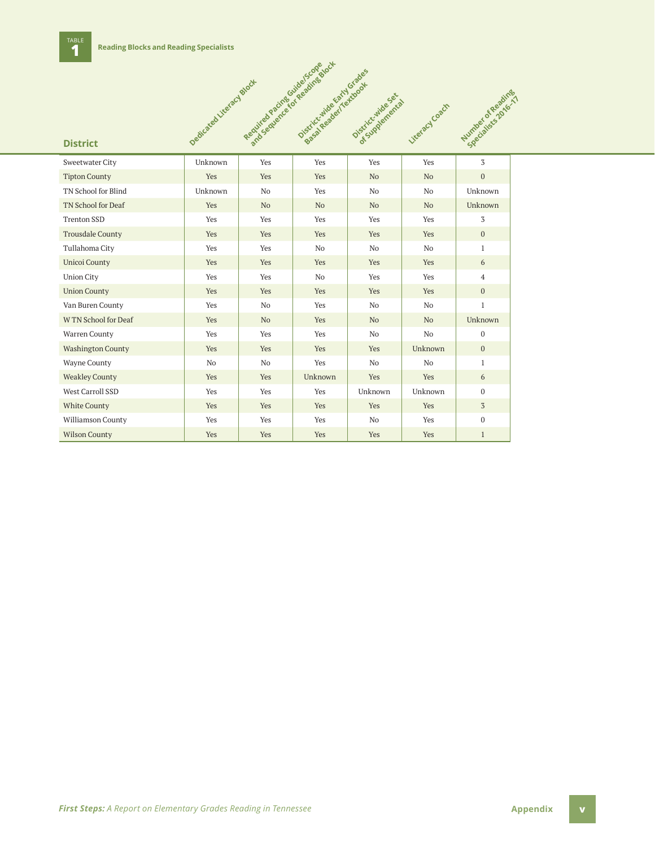

| Sweetwater City          | Unknown        | Yes            | Yes            | Yes            | Yes            | 3              |
|--------------------------|----------------|----------------|----------------|----------------|----------------|----------------|
| <b>Tipton County</b>     | Yes            | Yes            | <b>Yes</b>     | N <sub>o</sub> | N <sub>o</sub> | $\mathbf{0}$   |
| TN School for Blind      | Unknown        | N <sub>0</sub> | Yes            | N <sub>o</sub> | N <sub>o</sub> | Unknown        |
| TN School for Deaf       | Yes            | N <sub>o</sub> | N <sub>o</sub> | N <sub>o</sub> | N <sub>o</sub> | Unknown        |
| <b>Trenton SSD</b>       | Yes            | Yes            | Yes            | Yes            | Yes            | 3              |
| <b>Trousdale County</b>  | Yes            | Yes            | Yes            | Yes            | Yes            | $\mathbf{0}$   |
| Tullahoma City           | Yes            | Yes            | No             | No             | No             | $\mathbf{1}$   |
| <b>Unicoi County</b>     | Yes            | Yes            | Yes            | Yes            | Yes            | 6              |
| <b>Union City</b>        | Yes            | Yes            | No             | Yes            | Yes            | $\overline{4}$ |
| <b>Union County</b>      | Yes            | Yes            | <b>Yes</b>     | Yes            | Yes            | $\mathbf{0}$   |
| Van Buren County         | Yes            | N <sub>0</sub> | Yes            | N <sub>o</sub> | N <sub>0</sub> | $\mathbf{1}$   |
| W TN School for Deaf     | Yes            | N <sub>o</sub> | <b>Yes</b>     | N <sub>o</sub> | N <sub>o</sub> | Unknown        |
| Warren County            | Yes            | Yes            | Yes            | N <sub>0</sub> | No             | $\mathbf{0}$   |
| <b>Washington County</b> | Yes            | Yes            | Yes            | Yes            | Unknown        | $\mathbf{0}$   |
| Wayne County             | N <sub>o</sub> | N <sub>0</sub> | Yes            | N <sub>0</sub> | N <sub>o</sub> | $\mathbf{1}$   |
| <b>Weakley County</b>    | Yes            | Yes            | Unknown        | Yes            | Yes            | 6              |
| West Carroll SSD         | Yes            | Yes            | Yes            | Unknown        | Unknown        | $\mathbf{0}$   |
| <b>White County</b>      | Yes            | Yes            | Yes            | Yes            | Yes            | 3              |
| Williamson County        | Yes            | Yes            | Yes            | N <sub>o</sub> | Yes            | $\mathbf{0}$   |
| <b>Wilson County</b>     | Yes            | Yes            | Yes            | Yes            | Yes            | $\mathbf{1}$   |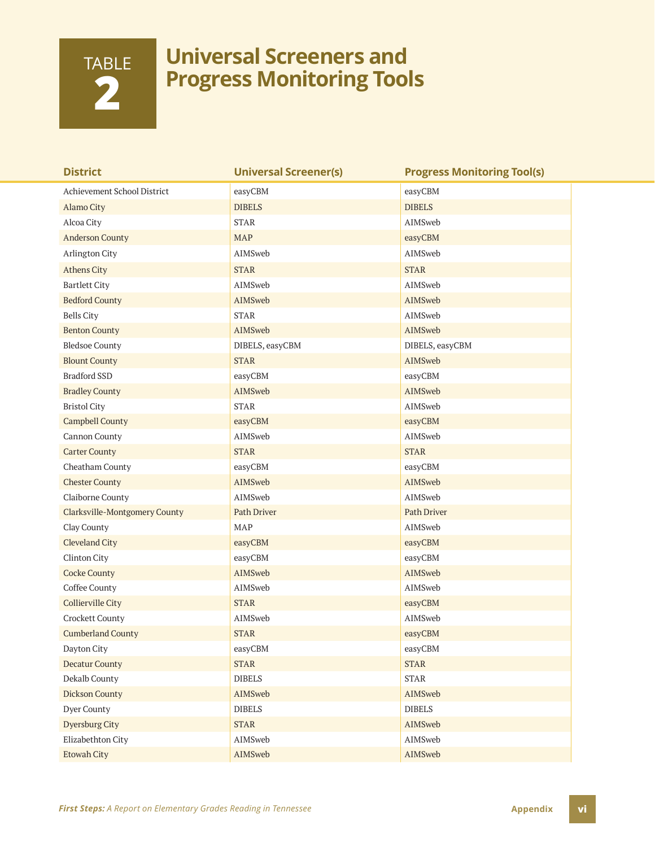# TABLE **2**

### **Universal Screeners and Progress Monitoring Tools**

| <b>District</b>                      | <b>Universal Screener(s)</b> | <b>Progress Monitoring Tool(s)</b> |
|--------------------------------------|------------------------------|------------------------------------|
| Achievement School District          | easyCBM                      | easyCBM                            |
| Alamo City                           | <b>DIBELS</b>                | <b>DIBELS</b>                      |
| Alcoa City                           | <b>STAR</b>                  | AIMSweb                            |
| <b>Anderson County</b>               | <b>MAP</b>                   | easyCBM                            |
| Arlington City                       | AIMSweb                      | AIMSweb                            |
| <b>Athens City</b>                   | <b>STAR</b>                  | <b>STAR</b>                        |
| <b>Bartlett City</b>                 | AIMSweb                      | AIMSweb                            |
| <b>Bedford County</b>                | AIMSweb                      | AIMSweb                            |
| <b>Bells City</b>                    | <b>STAR</b>                  | AIMSweb                            |
| <b>Benton County</b>                 | AIMSweb                      | AIMSweb                            |
| <b>Bledsoe County</b>                | DIBELS, easyCBM              | DIBELS, easyCBM                    |
| <b>Blount County</b>                 | <b>STAR</b>                  | AIMSweb                            |
| <b>Bradford SSD</b>                  | easyCBM                      | easyCBM                            |
| <b>Bradley County</b>                | AIMSweb                      | AIMSweb                            |
| <b>Bristol City</b>                  | <b>STAR</b>                  | AIMSweb                            |
| <b>Campbell County</b>               | easyCBM                      | easyCBM                            |
| Cannon County                        | AIMSweb                      | AIMSweb                            |
| <b>Carter County</b>                 | <b>STAR</b>                  | <b>STAR</b>                        |
| Cheatham County                      | easyCBM                      | easyCBM                            |
| <b>Chester County</b>                | AIMSweb                      | AIMSweb                            |
| Claiborne County                     | AIMSweb                      | AIMSweb                            |
| <b>Clarksville-Montgomery County</b> | <b>Path Driver</b>           | Path Driver                        |
| Clay County                          | <b>MAP</b>                   | AIMSweb                            |
| <b>Cleveland City</b>                | easyCBM                      | easyCBM                            |
| Clinton City                         | easyCBM                      | easyCBM                            |
| <b>Cocke County</b>                  | AIMSweb                      | AIMSweb                            |
| Coffee County                        | AIMSweb                      | AIMSweb                            |
| <b>Collierville City</b>             | <b>STAR</b>                  | easyCBM                            |
| Crockett County                      | AIMSweb                      | AIMSweb                            |
| <b>Cumberland County</b>             | <b>STAR</b>                  | easyCBM                            |
| Dayton City                          | easyCBM                      | easyCBM                            |
| <b>Decatur County</b>                | $\ensuremath{\mathrm{STAR}}$ | <b>STAR</b>                        |
| Dekalb County                        | <b>DIBELS</b>                | $\text{STAR}{}$                    |
| <b>Dickson County</b>                | AIMSweb                      | AIMSweb                            |
| Dyer County                          | <b>DIBELS</b>                | <b>DIBELS</b>                      |
| <b>Dyersburg City</b>                | <b>STAR</b>                  | AIMSweb                            |
| Elizabethton City                    | AIMSweb                      | AIMSweb                            |
| <b>Etowah City</b>                   | AIMSweb                      | AIMSweb                            |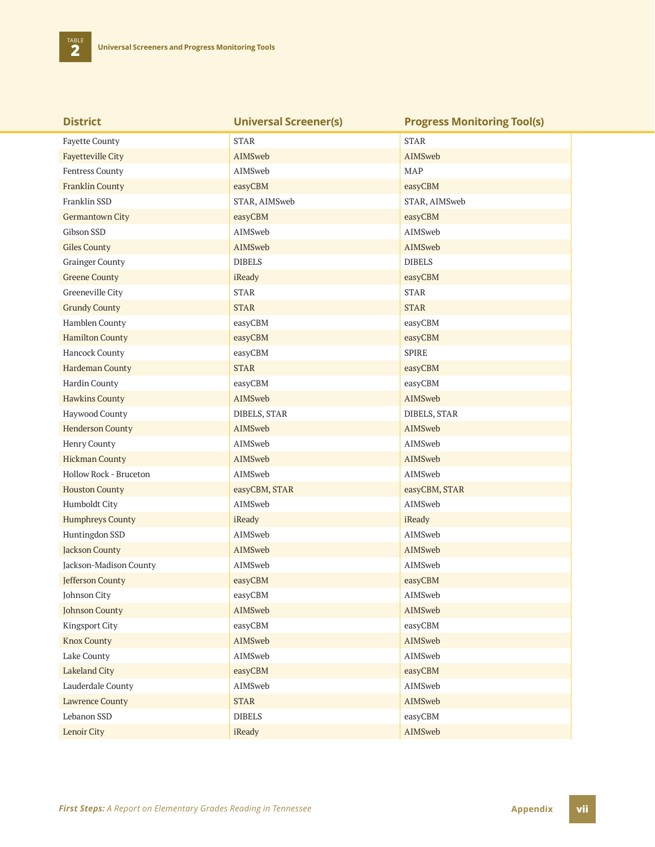| <b>District</b>          | <b>Universal Screener(s)</b> | <b>Progress Monitoring Tool(s)</b> |
|--------------------------|------------------------------|------------------------------------|
| <b>Fayette County</b>    | <b>STAR</b>                  | <b>STAR</b>                        |
| <b>Fayetteville City</b> | AIMSweb                      | AIMSweb                            |
| Fentress County          | AIMSweb                      | MAP                                |
| <b>Franklin County</b>   | easyCBM                      | easyCBM                            |
| Franklin SSD             | STAR, AIMSweb                | STAR, AIMSweb                      |
| Germantown City          | easyCBM                      | easyCBM                            |
| Gibson SSD               | AIMSweb                      | AIMSweb                            |
| <b>Giles County</b>      | AIMSweb                      | AIMSweb                            |
| <b>Grainger County</b>   | <b>DIBELS</b>                | <b>DIBELS</b>                      |
| <b>Greene County</b>     | iReady                       | easyCBM                            |
| Greeneville City         | <b>STAR</b>                  | <b>STAR</b>                        |
| <b>Grundy County</b>     | <b>STAR</b>                  | <b>STAR</b>                        |
| Hamblen County           | easyCBM                      | easyCBM                            |
| <b>Hamilton County</b>   | easyCBM                      | easyCBM                            |
| Hancock County           | easyCBM                      | SPIRE                              |
| Hardeman County          | <b>STAR</b>                  | easyCBM                            |
| Hardin County            | easyCBM                      | easyCBM                            |
| <b>Hawkins County</b>    | AIMSweb                      | AIMSweb                            |
| Haywood County           | DIBELS, STAR                 | DIBELS, STAR                       |
| <b>Henderson County</b>  | AIMSweb                      | AIMSweb                            |
| Henry County             | AIMSweb                      | AIMSweb                            |
| <b>Hickman County</b>    | AIMSweb                      | AIMSweb                            |
| Hollow Rock - Bruceton   | AIMSweb                      | AIMSweb                            |
| <b>Houston County</b>    | easyCBM, STAR                | easyCBM, STAR                      |
| Humboldt City            | AIMSweb                      | AIMSweb                            |
| <b>Humphreys County</b>  | iReady                       | iReady                             |
| Huntingdon SSD           | AIMSweb                      | AIMSweb                            |
| <b>Jackson County</b>    | AIMSweb                      | AIMSweb                            |
| Jackson-Madison County   | AIMSweb                      | AIMSweb                            |
| Jefferson County         | easyCBM                      | easyCBM                            |
| Johnson City             | easyCBM                      | AIMSweb                            |
| <b>Johnson County</b>    | AIMSweb                      | AIMSweb                            |
| Kingsport City           | easyCBM                      | easyCBM                            |
| <b>Knox County</b>       | AIMSweb                      | AIMSweb                            |
| Lake County              | AIMSweb                      | AIMSweb                            |
| <b>Lakeland City</b>     | easyCBM                      | easyCBM                            |
| Lauderdale County        | AIMSweb                      | AIMSweb                            |
| <b>Lawrence County</b>   | <b>STAR</b>                  | AIMSweb                            |
| Lebanon SSD              | <b>DIBELS</b>                | easyCBM                            |
| Lenoir City              | iReady                       | AIMSweb                            |

*First Steps: A Report on Elementary Grades Reading in Tennessee* **<b>Appendix Appendix Vii**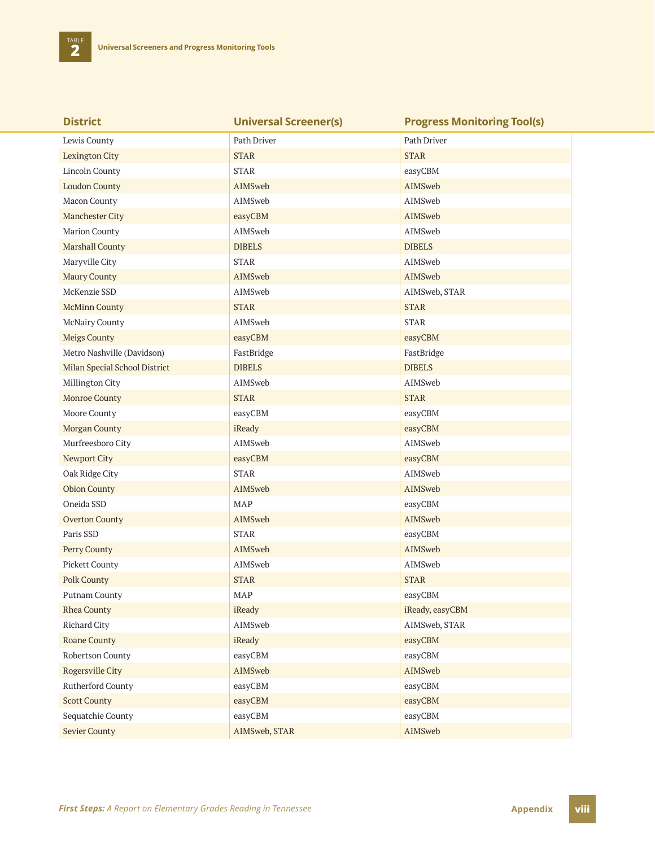| <b>District</b>               | <b>Universal Screener(s)</b> | <b>Progress Monitoring Tool(s)</b> |
|-------------------------------|------------------------------|------------------------------------|
| Lewis County                  | Path Driver                  | Path Driver                        |
| <b>Lexington City</b>         | <b>STAR</b>                  | <b>STAR</b>                        |
| Lincoln County                | <b>STAR</b>                  | easyCBM                            |
| <b>Loudon County</b>          | AIMSweb                      | AIMSweb                            |
| Macon County                  | AIMSweb                      | AIMSweb                            |
| Manchester City               | easyCBM                      | AIMSweb                            |
| Marion County                 | AIMSweb                      | AIMSweb                            |
| <b>Marshall County</b>        | <b>DIBELS</b>                | <b>DIBELS</b>                      |
| Maryville City                | <b>STAR</b>                  | AIMSweb                            |
| <b>Maury County</b>           | AIMSweb                      | AIMSweb                            |
| McKenzie SSD                  | AIMSweb                      | AIMSweb, STAR                      |
| <b>McMinn County</b>          | <b>STAR</b>                  | <b>STAR</b>                        |
| McNairy County                | AIMSweb                      | <b>STAR</b>                        |
| <b>Meigs County</b>           | easyCBM                      | easyCBM                            |
| Metro Nashville (Davidson)    | FastBridge                   | FastBridge                         |
| Milan Special School District | <b>DIBELS</b>                | <b>DIBELS</b>                      |
| Millington City               | AIMSweb                      | AIMSweb                            |
| <b>Monroe County</b>          | <b>STAR</b>                  | <b>STAR</b>                        |
| Moore County                  | easyCBM                      | easyCBM                            |
| Morgan County                 | iReady                       | easyCBM                            |
| Murfreesboro City             | AIMSweb                      | AIMSweb                            |
| Newport City                  | easyCBM                      | easyCBM                            |
| Oak Ridge City                | <b>STAR</b>                  | AIMSweb                            |
| <b>Obion County</b>           | AIMSweb                      | AIMSweb                            |
| Oneida SSD                    | MAP                          | easyCBM                            |
| <b>Overton County</b>         | AIMSweb                      | AIMSweb                            |
| Paris SSD                     | <b>STAR</b>                  | easyCBM                            |
| Perry County                  | AIMSweb                      | AIMSweb                            |
| Pickett County                | AIMSweb                      | AIMSweb                            |
| <b>Polk County</b>            | <b>STAR</b>                  | <b>STAR</b>                        |
| Putnam County                 | MAP                          | easyCBM                            |
| <b>Rhea County</b>            | iReady                       | iReady, easyCBM                    |
| Richard City                  | AIMSweb                      | AIMSweb, STAR                      |
| <b>Roane County</b>           | iReady                       | easyCBM                            |
| Robertson County              | easyCBM                      | easyCBM                            |
| Rogersville City              | AIMSweb                      | AIMSweb                            |
| Rutherford County             | easyCBM                      | easyCBM                            |
| <b>Scott County</b>           | easyCBM                      | easyCBM                            |
| Sequatchie County             | easyCBM                      | easyCBM                            |
| <b>Sevier County</b>          | AIMSweb, STAR                | AIMSweb                            |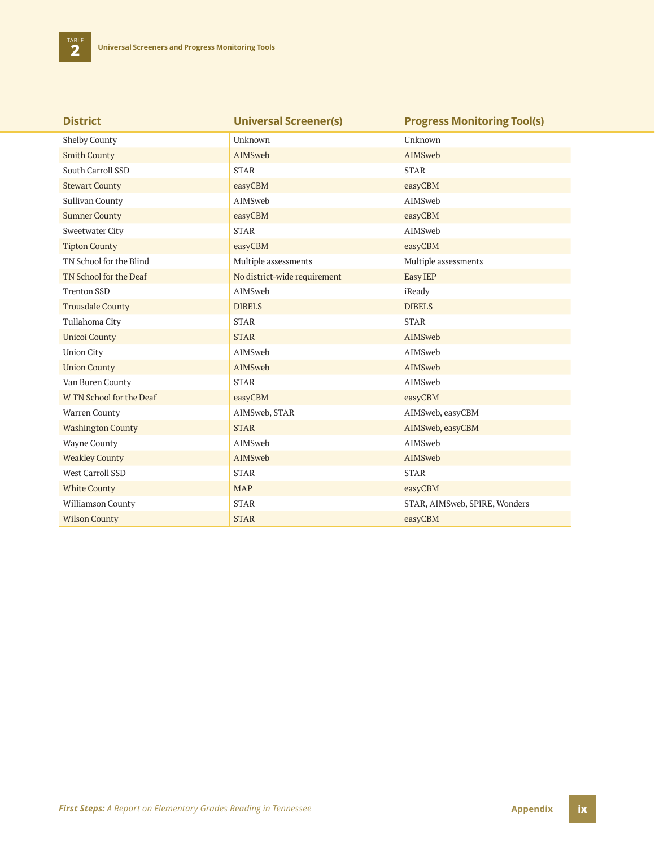| <b>District</b>          | <b>Universal Screener(s)</b> | <b>Progress Monitoring Tool(s)</b> |
|--------------------------|------------------------------|------------------------------------|
| <b>Shelby County</b>     | Unknown                      | Unknown                            |
| <b>Smith County</b>      | AIMSweb                      | AIMSweb                            |
| South Carroll SSD        | <b>STAR</b>                  | <b>STAR</b>                        |
| <b>Stewart County</b>    | easyCBM                      | easyCBM                            |
| Sullivan County          | AIMSweb                      | AIMSweb                            |
| <b>Sumner County</b>     | easyCBM                      | easyCBM                            |
| <b>Sweetwater City</b>   | <b>STAR</b>                  | AIMSweb                            |
| <b>Tipton County</b>     | easyCBM                      | easyCBM                            |
| TN School for the Blind  | Multiple assessments         | Multiple assessments               |
| TN School for the Deaf   | No district-wide requirement | Easy IEP                           |
| <b>Trenton SSD</b>       | AIMSweb                      | iReady                             |
| <b>Trousdale County</b>  | <b>DIBELS</b>                | <b>DIBELS</b>                      |
| Tullahoma City           | <b>STAR</b>                  | <b>STAR</b>                        |
| <b>Unicoi County</b>     | <b>STAR</b>                  | AIMSweb                            |
| <b>Union City</b>        | AIMSweb                      | AIMSweb                            |
| <b>Union County</b>      | AIMSweb                      | AIMSweb                            |
| Van Buren County         | <b>STAR</b>                  | AIMSweb                            |
| W TN School for the Deaf | easyCBM                      | easyCBM                            |
| Warren County            | AIMSweb, STAR                | AIMSweb, easyCBM                   |
| <b>Washington County</b> | <b>STAR</b>                  | AIMSweb, easyCBM                   |
| Wayne County             | AIMSweb                      | AIMSweb                            |
| <b>Weakley County</b>    | AIMSweb                      | AIMSweb                            |
| West Carroll SSD         | <b>STAR</b>                  | <b>STAR</b>                        |
| <b>White County</b>      | <b>MAP</b>                   | easyCBM                            |
| Williamson County        | <b>STAR</b>                  | STAR, AIMSweb, SPIRE, Wonders      |
| <b>Wilson County</b>     | <b>STAR</b>                  | easyCBM                            |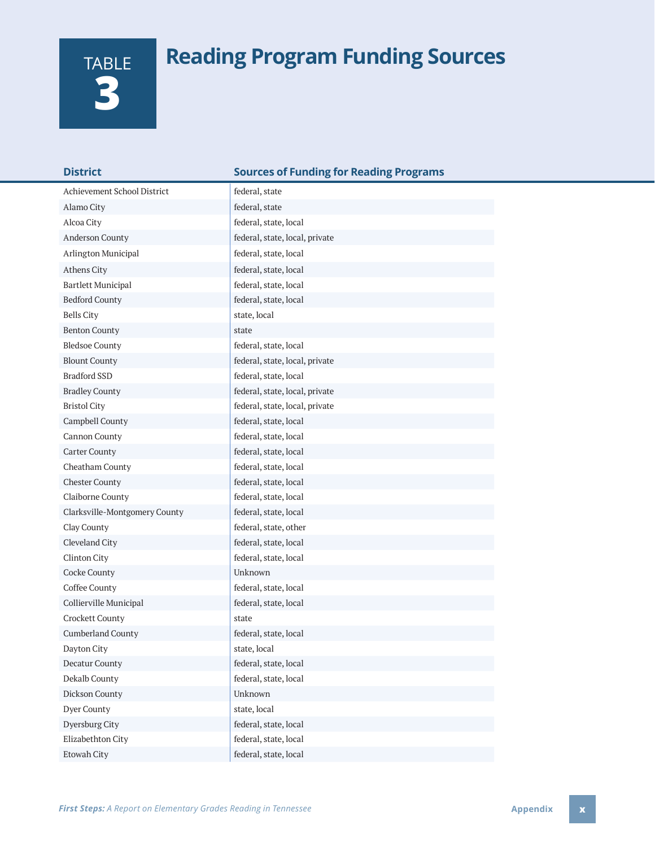# **Reading Program Funding Sources**

| TABLE |
|-------|
|       |
|       |

| <b>District</b>               | <b>Sources of Funding for Reading Programs</b> |
|-------------------------------|------------------------------------------------|
| Achievement School District   | federal, state                                 |
| Alamo City                    | federal, state                                 |
| Alcoa City                    | federal, state, local                          |
| Anderson County               | federal, state, local, private                 |
| Arlington Municipal           | federal, state, local                          |
| Athens City                   | federal, state, local                          |
| <b>Bartlett Municipal</b>     | federal, state, local                          |
| <b>Bedford County</b>         | federal, state, local                          |
| <b>Bells City</b>             | state, local                                   |
| <b>Benton County</b>          | state                                          |
| <b>Bledsoe County</b>         | federal, state, local                          |
| <b>Blount County</b>          | federal, state, local, private                 |
| <b>Bradford SSD</b>           | federal, state, local                          |
| <b>Bradley County</b>         | federal, state, local, private                 |
| <b>Bristol City</b>           | federal, state, local, private                 |
| Campbell County               | federal, state, local                          |
| Cannon County                 | federal, state, local                          |
| <b>Carter County</b>          | federal, state, local                          |
| Cheatham County               | federal, state, local                          |
| <b>Chester County</b>         | federal, state, local                          |
| Claiborne County              | federal, state, local                          |
| Clarksville-Montgomery County | federal, state, local                          |
| Clay County                   | federal, state, other                          |
| Cleveland City                | federal, state, local                          |
| Clinton City                  | federal, state, local                          |
| Cocke County                  | Unknown                                        |
| Coffee County                 | federal, state, local                          |
| Collierville Municipal        | federal, state, local                          |
| Crockett County               | state                                          |
| <b>Cumberland County</b>      | federal, state, local                          |
| Dayton City                   | state, local                                   |
| <b>Decatur County</b>         | federal, state, local                          |
| Dekalb County                 | federal, state, local                          |
| Dickson County                | Unknown                                        |
| Dyer County                   | state, local                                   |
| Dyersburg City                | federal, state, local                          |
| Elizabethton City             | federal, state, local                          |
| Etowah City                   | federal, state, local                          |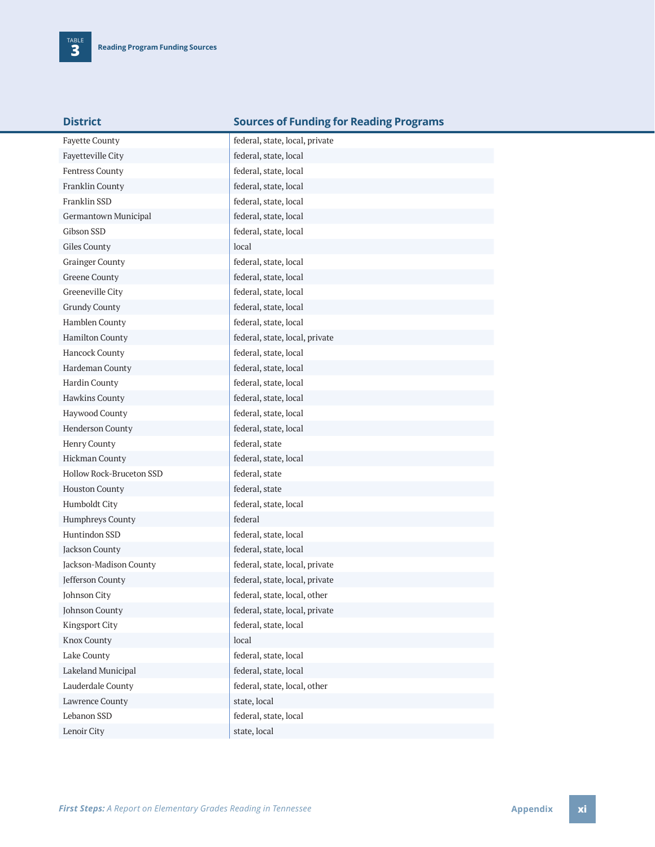| District |  |  |  |
|----------|--|--|--|

#### **Sources of Funding for Reading Programs**

| <b>Fayette County</b>    | federal, state, local, private |
|--------------------------|--------------------------------|
| Fayetteville City        | federal, state, local          |
| Fentress County          | federal, state, local          |
| Franklin County          | federal, state, local          |
| Franklin SSD             | federal, state, local          |
| Germantown Municipal     | federal, state, local          |
| Gibson SSD               | federal, state, local          |
| Giles County             | local                          |
| <b>Grainger County</b>   | federal, state, local          |
| <b>Greene County</b>     | federal, state, local          |
| Greeneville City         | federal, state, local          |
| <b>Grundy County</b>     | federal, state, local          |
| Hamblen County           | federal, state, local          |
| Hamilton County          | federal, state, local, private |
| Hancock County           | federal, state, local          |
| Hardeman County          | federal, state, local          |
| Hardin County            | federal, state, local          |
| Hawkins County           | federal, state, local          |
| Haywood County           | federal, state, local          |
| Henderson County         | federal, state, local          |
| Henry County             | federal, state                 |
| <b>Hickman County</b>    | federal, state, local          |
| Hollow Rock-Bruceton SSD | federal, state                 |
| <b>Houston County</b>    | federal, state                 |
| Humboldt City            | federal, state, local          |
| Humphreys County         | federal                        |
| Huntindon SSD            | federal, state, local          |
| Jackson County           | federal, state, local          |
| Jackson-Madison County   | federal, state, local, private |
| Jefferson County         | federal, state, local, private |
| Johnson City             | federal, state, local, other   |
| <b>Johnson County</b>    | federal, state, local, private |
| <b>Kingsport City</b>    | federal, state, local          |
| <b>Knox County</b>       | local                          |
| Lake County              | federal, state, local          |
| Lakeland Municipal       | federal, state, local          |
| Lauderdale County        | federal, state, local, other   |
| Lawrence County          | state, local                   |
| Lebanon SSD              | federal, state, local          |
| Lenoir City              | state, local                   |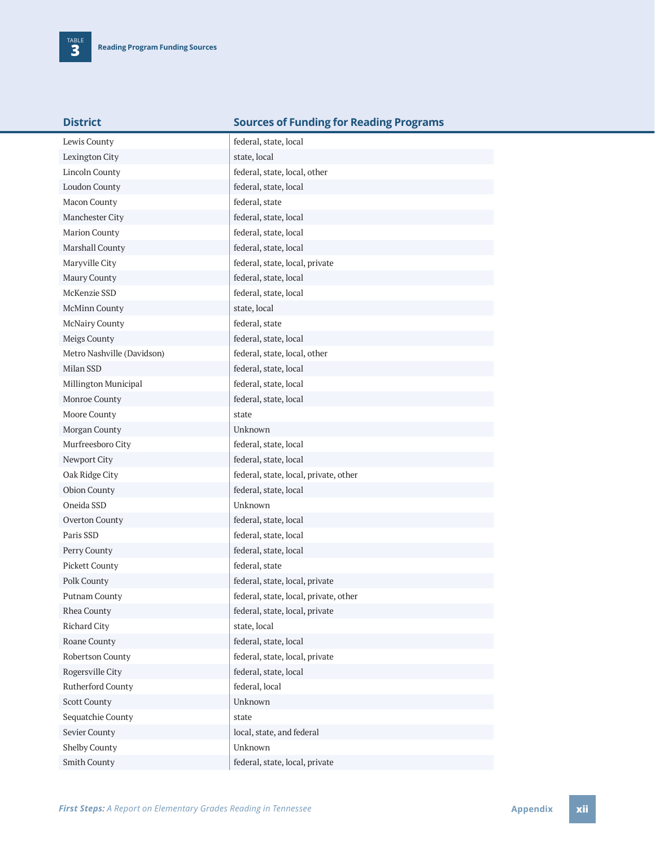| <b>District</b>            | <b>Sources of Funding for Reading Programs</b> |
|----------------------------|------------------------------------------------|
| Lewis County               | federal, state, local                          |
| Lexington City             | state, local                                   |
| <b>Lincoln County</b>      | federal, state, local, other                   |
| <b>Loudon County</b>       | federal, state, local                          |
| Macon County               | federal, state                                 |
| Manchester City            | federal, state, local                          |
| Marion County              | federal, state, local                          |
| Marshall County            | federal, state, local                          |
| Maryville City             | federal, state, local, private                 |
| Maury County               | federal, state, local                          |
| McKenzie SSD               | federal, state, local                          |
| McMinn County              | state, local                                   |
| McNairy County             | federal, state                                 |
| Meigs County               | federal, state, local                          |
| Metro Nashville (Davidson) | federal, state, local, other                   |
| Milan SSD                  | federal, state, local                          |
| Millington Municipal       | federal, state, local                          |
| Monroe County              | federal, state, local                          |
| Moore County               | state                                          |
| Morgan County              | Unknown                                        |
| Murfreesboro City          | federal, state, local                          |
| Newport City               | federal, state, local                          |
| Oak Ridge City             | federal, state, local, private, other          |
| Obion County               | federal, state, local                          |
| Oneida SSD                 | Unknown                                        |
| Overton County             | federal, state, local                          |
| Paris SSD                  | federal, state, local                          |
| Perry County               | federal, state, local                          |
| Pickett County             | federal, state                                 |
| Polk County                | federal, state, local, private                 |
| Putnam County              | federal, state, local, private, other          |
| Rhea County                | federal, state, local, private                 |
| Richard City               | state, local                                   |
| Roane County               | federal, state, local                          |
| Robertson County           | federal, state, local, private                 |
| Rogersville City           | federal, state, local                          |
| Rutherford County          | federal, local                                 |
| <b>Scott County</b>        | Unknown                                        |
| Sequatchie County          | state                                          |
| Sevier County              | local, state, and federal                      |
| Shelby County              | Unknown                                        |
| Smith County               | federal, state, local, private                 |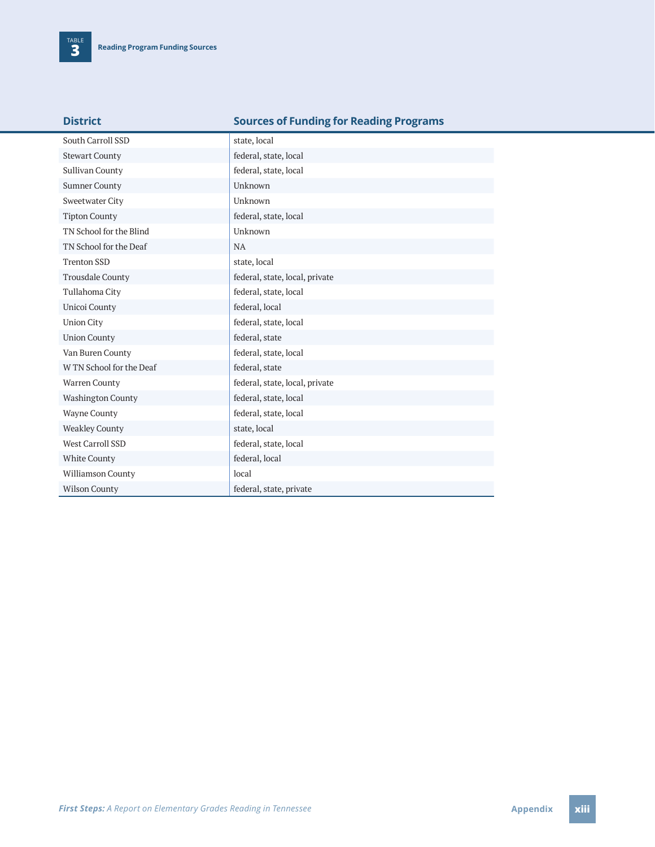| <b>District</b>          | <b>Sources of Funding for Reading Programs</b> |
|--------------------------|------------------------------------------------|
| South Carroll SSD        | state, local                                   |
| <b>Stewart County</b>    | federal, state, local                          |
| Sullivan County          | federal, state, local                          |
| <b>Sumner County</b>     | Unknown                                        |
| Sweetwater City          | Unknown                                        |
| <b>Tipton County</b>     | federal, state, local                          |
| TN School for the Blind  | Unknown                                        |
| TN School for the Deaf   | <b>NA</b>                                      |
| <b>Trenton SSD</b>       | state, local                                   |
| <b>Trousdale County</b>  | federal, state, local, private                 |
| Tullahoma City           | federal, state, local                          |
| Unicoi County            | federal, local                                 |
| <b>Union City</b>        | federal, state, local                          |
| <b>Union County</b>      | federal, state                                 |
| Van Buren County         | federal, state, local                          |
| W TN School for the Deaf | federal, state                                 |
| Warren County            | federal, state, local, private                 |
| <b>Washington County</b> | federal, state, local                          |
| <b>Wayne County</b>      | federal, state, local                          |
| <b>Weakley County</b>    | state, local                                   |
| <b>West Carroll SSD</b>  | federal, state, local                          |
| White County             | federal, local                                 |
| Williamson County        | local                                          |
| <b>Wilson County</b>     | federal, state, private                        |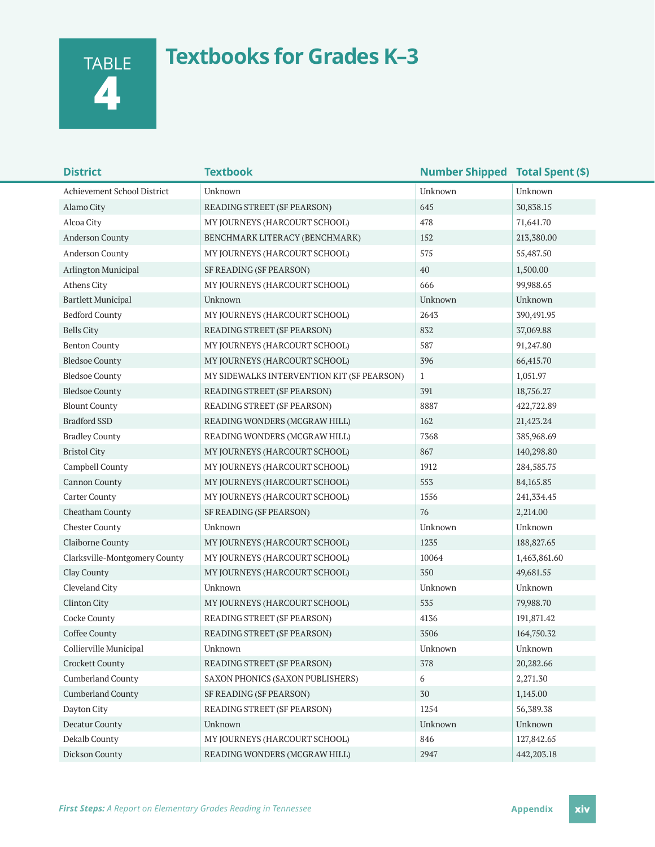TABLE **4**

## **Textbooks for Grades K–3**

| <b>District</b>               | <b>Textbook</b>                            | <b>Number Shipped Total Spent (\$)</b> |              |
|-------------------------------|--------------------------------------------|----------------------------------------|--------------|
| Achievement School District   | Unknown                                    | Unknown                                | Unknown      |
| Alamo City                    | READING STREET (SF PEARSON)                | 645                                    | 30,838.15    |
| Alcoa City                    | MY JOURNEYS (HARCOURT SCHOOL)              | 478                                    | 71,641.70    |
| <b>Anderson County</b>        | BENCHMARK LITERACY (BENCHMARK)             | 152                                    | 213,380.00   |
| <b>Anderson County</b>        | MY JOURNEYS (HARCOURT SCHOOL)              | 575                                    | 55,487.50    |
| Arlington Municipal           | SF READING (SF PEARSON)                    | 40                                     | 1,500.00     |
| Athens City                   | MY JOURNEYS (HARCOURT SCHOOL)              | 666                                    | 99,988.65    |
| <b>Bartlett Municipal</b>     | Unknown                                    | Unknown                                | Unknown      |
| <b>Bedford County</b>         | MY JOURNEYS (HARCOURT SCHOOL)              | 2643                                   | 390,491.95   |
| <b>Bells City</b>             | READING STREET (SF PEARSON)                | 832                                    | 37,069.88    |
| <b>Benton County</b>          | MY JOURNEYS (HARCOURT SCHOOL)              | 587                                    | 91,247.80    |
| <b>Bledsoe County</b>         | MY JOURNEYS (HARCOURT SCHOOL)              | 396                                    | 66,415.70    |
| <b>Bledsoe County</b>         | MY SIDEWALKS INTERVENTION KIT (SF PEARSON) | $\mathbf{1}$                           | 1,051.97     |
| <b>Bledsoe County</b>         | READING STREET (SF PEARSON)                | 391                                    | 18,756.27    |
| <b>Blount County</b>          | READING STREET (SF PEARSON)                | 8887                                   | 422,722.89   |
| <b>Bradford SSD</b>           | READING WONDERS (MCGRAW HILL)              | 162                                    | 21,423.24    |
| <b>Bradley County</b>         | READING WONDERS (MCGRAW HILL)              | 7368                                   | 385,968.69   |
| <b>Bristol City</b>           | MY JOURNEYS (HARCOURT SCHOOL)              | 867                                    | 140,298.80   |
| Campbell County               | MY JOURNEYS (HARCOURT SCHOOL)              | 1912                                   | 284,585.75   |
| <b>Cannon County</b>          | MY JOURNEYS (HARCOURT SCHOOL)              | 553                                    | 84, 165.85   |
| <b>Carter County</b>          | MY JOURNEYS (HARCOURT SCHOOL)              | 1556                                   | 241,334.45   |
| Cheatham County               | SF READING (SF PEARSON)                    | 76                                     | 2,214.00     |
| <b>Chester County</b>         | Unknown                                    | Unknown                                | Unknown      |
| Claiborne County              | MY JOURNEYS (HARCOURT SCHOOL)              | 1235                                   | 188,827.65   |
| Clarksville-Montgomery County | MY JOURNEYS (HARCOURT SCHOOL)              | 10064                                  | 1,463,861.60 |
| Clay County                   | MY JOURNEYS (HARCOURT SCHOOL)              | 350                                    | 49,681.55    |
| Cleveland City                | Unknown                                    | Unknown                                | Unknown      |
| Clinton City                  | MY JOURNEYS (HARCOURT SCHOOL)              | 535                                    | 79,988.70    |
| Cocke County                  | READING STREET (SF PEARSON)                | 4136                                   | 191,871.42   |
| Coffee County                 | READING STREET (SF PEARSON)                | 3506                                   | 164,750.32   |
| Collierville Municipal        | Unknown                                    | Unknown                                | Unknown      |
| <b>Crockett County</b>        | READING STREET (SF PEARSON)                | 378                                    | 20,282.66    |
| <b>Cumberland County</b>      | SAXON PHONICS (SAXON PUBLISHERS)           | 6                                      | 2,271.30     |
| <b>Cumberland County</b>      | SF READING (SF PEARSON)                    | 30                                     | 1,145.00     |
| Dayton City                   | READING STREET (SF PEARSON)                | 1254                                   | 56,389.38    |
| Decatur County                | Unknown                                    | Unknown                                | Unknown      |
| Dekalb County                 | MY JOURNEYS (HARCOURT SCHOOL)              | 846                                    | 127,842.65   |
| Dickson County                | READING WONDERS (MCGRAW HILL)              | 2947                                   | 442,203.18   |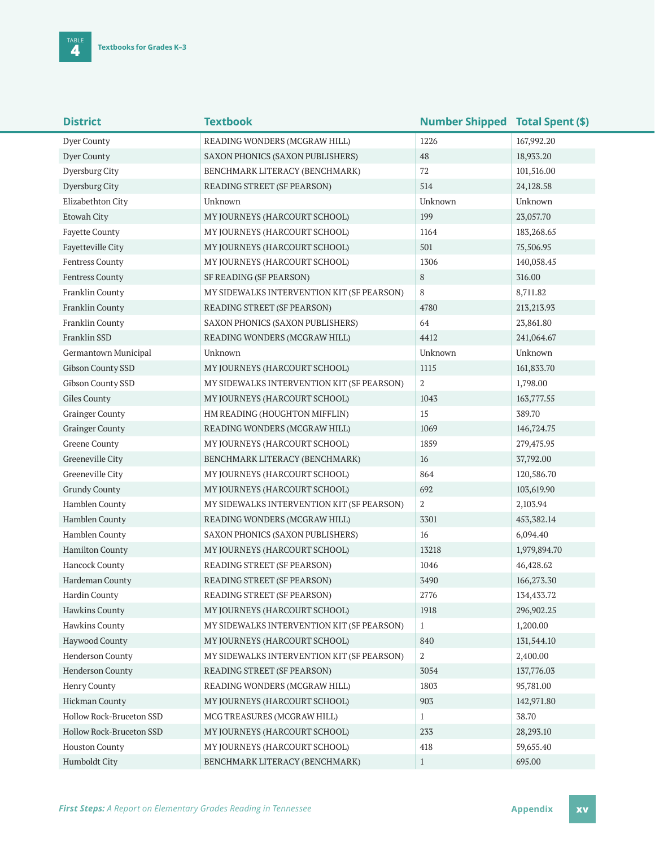| <b>District</b>          | <b>Textbook</b>                            | <b>Number Shipped Total Spent (\$)</b> |              |
|--------------------------|--------------------------------------------|----------------------------------------|--------------|
| Dyer County              | READING WONDERS (MCGRAW HILL)              | 1226                                   | 167,992.20   |
| Dyer County              | SAXON PHONICS (SAXON PUBLISHERS)           | 48                                     | 18,933.20    |
| Dyersburg City           | BENCHMARK LITERACY (BENCHMARK)             | 72                                     | 101,516.00   |
| Dyersburg City           | READING STREET (SF PEARSON)                | 514                                    | 24,128.58    |
| Elizabethton City        | Unknown                                    | Unknown                                | Unknown      |
| Etowah City              | MY JOURNEYS (HARCOURT SCHOOL)              | 199                                    | 23,057.70    |
| <b>Fayette County</b>    | MY JOURNEYS (HARCOURT SCHOOL)              | 1164                                   | 183,268.65   |
| Fayetteville City        | MY JOURNEYS (HARCOURT SCHOOL)              | 501                                    | 75,506.95    |
| Fentress County          | MY JOURNEYS (HARCOURT SCHOOL)              | 1306                                   | 140,058.45   |
| Fentress County          | SF READING (SF PEARSON)                    | 8                                      | 316.00       |
| Franklin County          | MY SIDEWALKS INTERVENTION KIT (SF PEARSON) | 8                                      | 8,711.82     |
| Franklin County          | READING STREET (SF PEARSON)                | 4780                                   | 213,213.93   |
| Franklin County          | SAXON PHONICS (SAXON PUBLISHERS)           | 64                                     | 23,861.80    |
| Franklin SSD             | READING WONDERS (MCGRAW HILL)              | 4412                                   | 241,064.67   |
| Germantown Municipal     | Unknown                                    | Unknown                                | Unknown      |
| Gibson County SSD        | MY JOURNEYS (HARCOURT SCHOOL)              | 1115                                   | 161,833.70   |
| Gibson County SSD        | MY SIDEWALKS INTERVENTION KIT (SF PEARSON) | $\overline{2}$                         | 1,798.00     |
| Giles County             | MY JOURNEYS (HARCOURT SCHOOL)              | 1043                                   | 163,777.55   |
| <b>Grainger County</b>   | HM READING (HOUGHTON MIFFLIN)              | 15                                     | 389.70       |
| <b>Grainger County</b>   | READING WONDERS (MCGRAW HILL)              | 1069                                   | 146,724.75   |
| Greene County            | MY JOURNEYS (HARCOURT SCHOOL)              | 1859                                   | 279,475.95   |
| Greeneville City         | BENCHMARK LITERACY (BENCHMARK)             | 16                                     | 37,792.00    |
| Greeneville City         | MY JOURNEYS (HARCOURT SCHOOL)              | 864                                    | 120,586.70   |
| <b>Grundy County</b>     | MY JOURNEYS (HARCOURT SCHOOL)              | 692                                    | 103,619.90   |
| Hamblen County           | MY SIDEWALKS INTERVENTION KIT (SF PEARSON) | $\overline{2}$                         | 2,103.94     |
| Hamblen County           | READING WONDERS (MCGRAW HILL)              | 3301                                   | 453,382.14   |
| Hamblen County           | SAXON PHONICS (SAXON PUBLISHERS)           | 16                                     | 6,094.40     |
| Hamilton County          | MY JOURNEYS (HARCOURT SCHOOL)              | 13218                                  | 1,979,894.70 |
| Hancock County           | READING STREET (SF PEARSON)                | 1046                                   | 46,428.62    |
| Hardeman County          | READING STREET (SF PEARSON)                | 3490                                   | 166,273.30   |
| Hardin County            | READING STREET (SF PEARSON)                | 2776                                   | 134,433.72   |
| <b>Hawkins County</b>    | MY JOURNEYS (HARCOURT SCHOOL)              | 1918                                   | 296,902.25   |
| <b>Hawkins County</b>    | MY SIDEWALKS INTERVENTION KIT (SF PEARSON) | $\mathbf{1}$                           | 1,200.00     |
| Haywood County           | MY JOURNEYS (HARCOURT SCHOOL)              | 840                                    | 131,544.10   |
| Henderson County         | MY SIDEWALKS INTERVENTION KIT (SF PEARSON) | 2                                      | 2,400.00     |
| Henderson County         | READING STREET (SF PEARSON)                | 3054                                   | 137,776.03   |
| Henry County             | READING WONDERS (MCGRAW HILL)              | 1803                                   | 95,781.00    |
| Hickman County           | MY JOURNEYS (HARCOURT SCHOOL)              | 903                                    | 142,971.80   |
| Hollow Rock-Bruceton SSD | MCG TREASURES (MCGRAW HILL)                | $\mathbf{1}$                           | 38.70        |
| Hollow Rock-Bruceton SSD | MY JOURNEYS (HARCOURT SCHOOL)              | 233                                    | 28,293.10    |
| <b>Houston County</b>    | MY JOURNEYS (HARCOURT SCHOOL)              | 418                                    | 59,655.40    |
| Humboldt City            | BENCHMARK LITERACY (BENCHMARK)             | $\mathbf{1}$                           | 695.00       |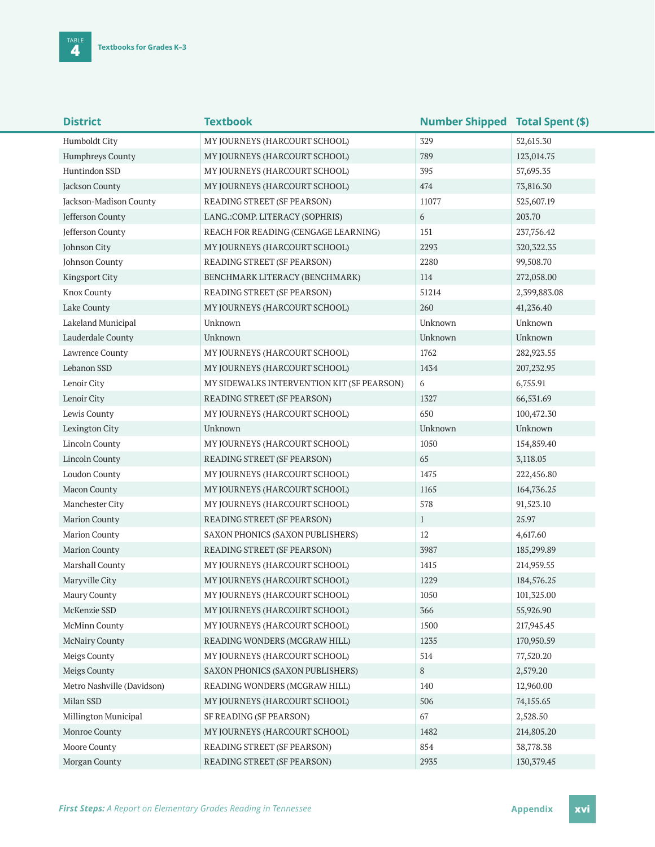| <b>District</b>            | <b>Textbook</b>                            | <b>Number Shipped Total Spent (\$)</b> |              |
|----------------------------|--------------------------------------------|----------------------------------------|--------------|
| Humboldt City              | MY JOURNEYS (HARCOURT SCHOOL)              | 329                                    | 52,615.30    |
| Humphreys County           | MY JOURNEYS (HARCOURT SCHOOL)              | 789                                    | 123,014.75   |
| Huntindon SSD              | MY JOURNEYS (HARCOURT SCHOOL)              | 395                                    | 57,695.35    |
| Jackson County             | MY JOURNEYS (HARCOURT SCHOOL)              | 474                                    | 73,816.30    |
| Jackson-Madison County     | READING STREET (SF PEARSON)                | 11077                                  | 525,607.19   |
| Jefferson County           | LANG.: COMP. LITERACY (SOPHRIS)            | 6                                      | 203.70       |
| <b>Jefferson County</b>    | REACH FOR READING (CENGAGE LEARNING)       | 151                                    | 237,756.42   |
| Johnson City               | MY JOURNEYS (HARCOURT SCHOOL)              | 2293                                   | 320, 322. 35 |
| Johnson County             | READING STREET (SF PEARSON)                | 2280                                   | 99,508.70    |
| <b>Kingsport City</b>      | BENCHMARK LITERACY (BENCHMARK)             | 114                                    | 272,058.00   |
| <b>Knox County</b>         | READING STREET (SF PEARSON)                | 51214                                  | 2,399,883.08 |
| Lake County                | MY JOURNEYS (HARCOURT SCHOOL)              | 260                                    | 41,236.40    |
| Lakeland Municipal         | Unknown                                    | Unknown                                | Unknown      |
| Lauderdale County          | Unknown                                    | Unknown                                | Unknown      |
| Lawrence County            | MY JOURNEYS (HARCOURT SCHOOL)              | 1762                                   | 282,923.55   |
| Lebanon SSD                | MY JOURNEYS (HARCOURT SCHOOL)              | 1434                                   | 207,232.95   |
| Lenoir City                | MY SIDEWALKS INTERVENTION KIT (SF PEARSON) | 6                                      | 6,755.91     |
| Lenoir City                | READING STREET (SF PEARSON)                | 1327                                   | 66,531.69    |
| Lewis County               | MY JOURNEYS (HARCOURT SCHOOL)              | 650                                    | 100,472.30   |
| Lexington City             | Unknown                                    | Unknown                                | Unknown      |
| Lincoln County             | MY JOURNEYS (HARCOURT SCHOOL)              | 1050                                   | 154,859.40   |
| Lincoln County             | READING STREET (SF PEARSON)                | 65                                     | 3,118.05     |
| Loudon County              | MY JOURNEYS (HARCOURT SCHOOL)              | 1475                                   | 222,456.80   |
| Macon County               | MY JOURNEYS (HARCOURT SCHOOL)              | 1165                                   | 164,736.25   |
| Manchester City            | MY JOURNEYS (HARCOURT SCHOOL)              | 578                                    | 91,523.10    |
| <b>Marion County</b>       | READING STREET (SF PEARSON)                | $\mathbf{1}$                           | 25.97        |
| <b>Marion County</b>       | SAXON PHONICS (SAXON PUBLISHERS)           | 12                                     | 4,617.60     |
| <b>Marion County</b>       | READING STREET (SF PEARSON)                | 3987                                   | 185,299.89   |
| Marshall County            | MY JOURNEYS (HARCOURT SCHOOL)              | 1415                                   | 214,959.55   |
| Maryville City             | MY JOURNEYS (HARCOURT SCHOOL)              | 1229                                   | 184,576.25   |
| Maury County               | MY JOURNEYS (HARCOURT SCHOOL)              | 1050                                   | 101,325.00   |
| McKenzie SSD               | MY JOURNEYS (HARCOURT SCHOOL)              | 366                                    | 55,926.90    |
| <b>McMinn County</b>       | MY JOURNEYS (HARCOURT SCHOOL)              | 1500                                   | 217,945.45   |
| <b>McNairy County</b>      | READING WONDERS (MCGRAW HILL)              | 1235                                   | 170,950.59   |
| Meigs County               | MY JOURNEYS (HARCOURT SCHOOL)              | 514                                    | 77,520.20    |
| Meigs County               | SAXON PHONICS (SAXON PUBLISHERS)           | 8                                      | 2,579.20     |
| Metro Nashville (Davidson) | READING WONDERS (MCGRAW HILL)              | 140                                    | 12,960.00    |
| Milan SSD                  | MY JOURNEYS (HARCOURT SCHOOL)              | 506                                    | 74,155.65    |
| Millington Municipal       | SF READING (SF PEARSON)                    | 67                                     | 2,528.50     |
| Monroe County              | MY JOURNEYS (HARCOURT SCHOOL)              | 1482                                   | 214,805.20   |
| Moore County               | READING STREET (SF PEARSON)                | 854                                    | 38,778.38    |
| Morgan County              | READING STREET (SF PEARSON)                | 2935                                   | 130, 379. 45 |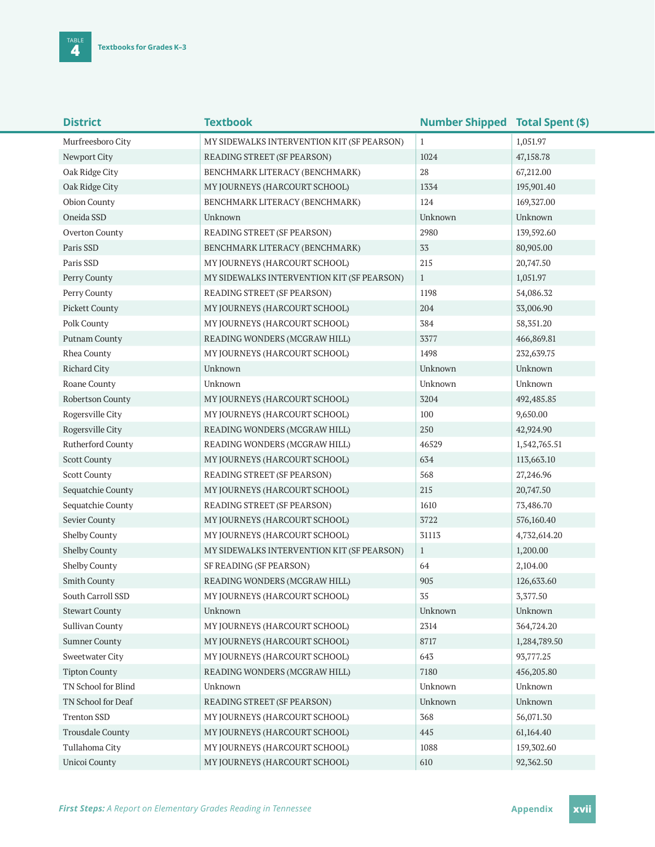| <b>District</b>          | <b>Textbook</b>                            | <b>Number Shipped Total Spent (\$)</b> |              |
|--------------------------|--------------------------------------------|----------------------------------------|--------------|
| Murfreesboro City        | MY SIDEWALKS INTERVENTION KIT (SF PEARSON) | 1                                      | 1,051.97     |
| Newport City             | READING STREET (SF PEARSON)                | 1024                                   | 47,158.78    |
| Oak Ridge City           | BENCHMARK LITERACY (BENCHMARK)             | 28                                     | 67,212.00    |
| Oak Ridge City           | MY JOURNEYS (HARCOURT SCHOOL)              | 1334                                   | 195,901.40   |
| Obion County             | BENCHMARK LITERACY (BENCHMARK)             | 124                                    | 169,327.00   |
| Oneida SSD               | Unknown                                    | Unknown                                | Unknown      |
| Overton County           | READING STREET (SF PEARSON)                | 2980                                   | 139,592.60   |
| Paris SSD                | BENCHMARK LITERACY (BENCHMARK)             | 33                                     | 80,905.00    |
| Paris SSD                | MY JOURNEYS (HARCOURT SCHOOL)              | 215                                    | 20,747.50    |
| Perry County             | MY SIDEWALKS INTERVENTION KIT (SF PEARSON) | $\mathbf{1}$                           | 1,051.97     |
| Perry County             | READING STREET (SF PEARSON)                | 1198                                   | 54,086.32    |
| <b>Pickett County</b>    | MY JOURNEYS (HARCOURT SCHOOL)              | 204                                    | 33,006.90    |
| Polk County              | MY JOURNEYS (HARCOURT SCHOOL)              | 384                                    | 58, 351. 20  |
| Putnam County            | READING WONDERS (MCGRAW HILL)              | 3377                                   | 466,869.81   |
| Rhea County              | MY JOURNEYS (HARCOURT SCHOOL)              | 1498                                   | 232,639.75   |
| <b>Richard City</b>      | Unknown                                    | Unknown                                | Unknown      |
| Roane County             | Unknown                                    | Unknown                                | Unknown      |
| Robertson County         | MY JOURNEYS (HARCOURT SCHOOL)              | 3204                                   | 492,485.85   |
| Rogersville City         | MY JOURNEYS (HARCOURT SCHOOL)              | 100                                    | 9,650.00     |
| Rogersville City         | READING WONDERS (MCGRAW HILL)              | 250                                    | 42,924.90    |
| <b>Rutherford County</b> | READING WONDERS (MCGRAW HILL)              | 46529                                  | 1,542,765.51 |
| <b>Scott County</b>      | MY JOURNEYS (HARCOURT SCHOOL)              | 634                                    | 113,663.10   |
| <b>Scott County</b>      | READING STREET (SF PEARSON)                | 568                                    | 27,246.96    |
| Sequatchie County        | MY JOURNEYS (HARCOURT SCHOOL)              | 215                                    | 20,747.50    |
| Sequatchie County        | READING STREET (SF PEARSON)                | 1610                                   | 73,486.70    |
| Sevier County            | MY JOURNEYS (HARCOURT SCHOOL)              | 3722                                   | 576,160.40   |
| Shelby County            | MY JOURNEYS (HARCOURT SCHOOL)              | 31113                                  | 4,732,614.20 |
| <b>Shelby County</b>     | MY SIDEWALKS INTERVENTION KIT (SF PEARSON) | $\mathbf{1}$                           | 1,200.00     |
| <b>Shelby County</b>     | SF READING (SF PEARSON)                    | 64                                     | 2,104.00     |
| Smith County             | READING WONDERS (MCGRAW HILL)              | 905                                    | 126,633.60   |
| South Carroll SSD        | MY JOURNEYS (HARCOURT SCHOOL)              | 35                                     | 3,377.50     |
| <b>Stewart County</b>    | Unknown                                    | Unknown                                | Unknown      |
| Sullivan County          | MY JOURNEYS (HARCOURT SCHOOL)              | 2314                                   | 364,724.20   |
| <b>Sumner County</b>     | MY JOURNEYS (HARCOURT SCHOOL)              | 8717                                   | 1,284,789.50 |
| Sweetwater City          | MY JOURNEYS (HARCOURT SCHOOL)              | 643                                    | 93,777.25    |
| <b>Tipton County</b>     | READING WONDERS (MCGRAW HILL)              | 7180                                   | 456,205.80   |
| TN School for Blind      | Unknown                                    | Unknown                                | Unknown      |
| TN School for Deaf       | READING STREET (SF PEARSON)                | Unknown                                | Unknown      |
| <b>Trenton SSD</b>       | MY JOURNEYS (HARCOURT SCHOOL)              | 368                                    | 56,071.30    |
| <b>Trousdale County</b>  | MY JOURNEYS (HARCOURT SCHOOL)              | 445                                    | 61,164.40    |
| Tullahoma City           | MY JOURNEYS (HARCOURT SCHOOL)              | 1088                                   | 159,302.60   |
| <b>Unicoi County</b>     | MY JOURNEYS (HARCOURT SCHOOL)              | 610                                    | 92,362.50    |